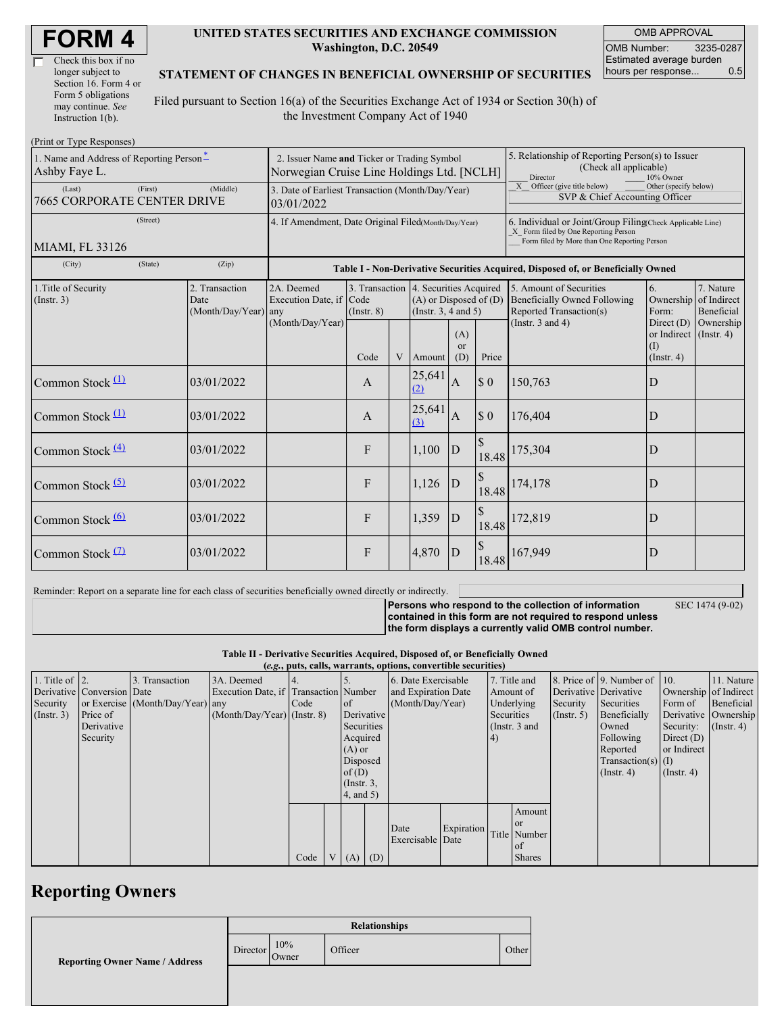| Check this box if no  |  |
|-----------------------|--|
| longer subject to     |  |
| Section 16. Form 4 or |  |
| Form 5 obligations    |  |
| may continue. See     |  |
| Instruction 1(b).     |  |

#### **UNITED STATES SECURITIES AND EXCHANGE COMMISSION Washington, D.C. 20549**

OMB APPROVAL OMB Number: 3235-0287 Estimated average burden hours per response... 0.5

### **STATEMENT OF CHANGES IN BENEFICIAL OWNERSHIP OF SECURITIES**

Filed pursuant to Section 16(a) of the Securities Exchange Act of 1934 or Section 30(h) of the Investment Company Act of 1940

| (Print or Type Responses)                                           |         |                                        |                                                                                           |                 |        |                                                                                                 |              |                                                                                                                                                    |                                                                                           |                          |                                        |
|---------------------------------------------------------------------|---------|----------------------------------------|-------------------------------------------------------------------------------------------|-----------------|--------|-------------------------------------------------------------------------------------------------|--------------|----------------------------------------------------------------------------------------------------------------------------------------------------|-------------------------------------------------------------------------------------------|--------------------------|----------------------------------------|
| 1. Name and Address of Reporting Person-<br>Ashby Faye L.           |         |                                        | 2. Issuer Name and Ticker or Trading Symbol<br>Norwegian Cruise Line Holdings Ltd. [NCLH] |                 |        |                                                                                                 |              | 5. Relationship of Reporting Person(s) to Issuer<br>(Check all applicable)<br>Director<br>10% Owner                                                |                                                                                           |                          |                                        |
| (First)<br>(Middle)<br>(Last)<br><b>7665 CORPORATE CENTER DRIVE</b> |         |                                        | 3. Date of Earliest Transaction (Month/Day/Year)<br>03/01/2022                            |                 |        |                                                                                                 |              | X Officer (give title below)<br>Other (specify below)<br>SVP & Chief Accounting Officer                                                            |                                                                                           |                          |                                        |
| (Street)<br>MIAMI, FL 33126                                         |         |                                        | 4. If Amendment, Date Original Filed(Month/Day/Year)                                      |                 |        |                                                                                                 |              | 6. Individual or Joint/Group Filing(Check Applicable Line)<br>X Form filed by One Reporting Person<br>Form filed by More than One Reporting Person |                                                                                           |                          |                                        |
| (City)                                                              | (State) | (Zip)                                  | Table I - Non-Derivative Securities Acquired, Disposed of, or Beneficially Owned          |                 |        |                                                                                                 |              |                                                                                                                                                    |                                                                                           |                          |                                        |
| 1. Title of Security<br>(Insert. 3)<br>Date                         |         | 2. Transaction<br>(Month/Day/Year) any | 2A. Deemed<br>Execution Date, if Code<br>(Month/Day/Year)                                 | $($ Instr. $8)$ |        | 3. Transaction 4. Securities Acquired<br>$(A)$ or Disposed of $(D)$<br>(Instr. $3, 4$ and $5$ ) |              |                                                                                                                                                    | 5. Amount of Securities<br><b>Beneficially Owned Following</b><br>Reported Transaction(s) | 6.<br>Ownership<br>Form: | 7. Nature<br>of Indirect<br>Beneficial |
|                                                                     |         | Code                                   |                                                                                           | V               | Amount | (A)<br><sub>or</sub><br>(D)                                                                     | Price        | (Instr. $3$ and $4$ )                                                                                                                              | Direct $(D)$<br>Ownership<br>or Indirect $($ Instr. 4 $)$<br>(I)<br>$($ Instr. 4 $)$      |                          |                                        |
| Common Stock $(1)$                                                  |         | 03/01/2022                             |                                                                                           | A               |        | 25,641<br>(2)                                                                                   | A            | \$0                                                                                                                                                | 150,763                                                                                   | D                        |                                        |
| Common Stock $(1)$                                                  |         | 03/01/2022                             |                                                                                           | A               |        | 25,641<br>(3)                                                                                   | $\mathbf{A}$ | $\boldsymbol{\$}\ 0$                                                                                                                               | 176,404                                                                                   | D                        |                                        |
| Common Stock $(4)$                                                  |         | 03/01/2022                             |                                                                                           | F               |        | 1,100                                                                                           | D            | $\mathcal{S}$<br>18.48                                                                                                                             | 175,304                                                                                   | D                        |                                        |
| Common Stock $(5)$                                                  |         | 03/01/2022                             |                                                                                           | F               |        | 1,126                                                                                           | D            | \$<br>18.48                                                                                                                                        | 174,178                                                                                   | D                        |                                        |
| Common Stock $\frac{(6)}{2}$                                        |         | 03/01/2022                             |                                                                                           | F               |        | 1,359                                                                                           | D            | \$<br>18.48                                                                                                                                        | 172,819                                                                                   | D                        |                                        |
| Common Stock $(7)$                                                  |         | 03/01/2022                             |                                                                                           | F               |        | 4,870                                                                                           | $\mathbf{D}$ | 18.48                                                                                                                                              | 167,949                                                                                   | D                        |                                        |

Reminder: Report on a separate line for each class of securities beneficially owned directly or indirectly.

SEC 1474 (9-02)

**Persons who respond to the collection of information contained in this form are not required to respond unless the form displays a currently valid OMB control number.**

**Table II - Derivative Securities Acquired, Disposed of, or Beneficially Owned**

|  |  | Derringer been nied required, Disposed of, or Beneficially On  |  |
|--|--|----------------------------------------------------------------|--|
|  |  | (e.g., puts, calls, warrants, options, convertible securities) |  |

| $(c, g, pus, can, wariants, vpuons, convcituvto scentuvos)$                                                                                   |                               |  |  |  |  |  |  |  |  |
|-----------------------------------------------------------------------------------------------------------------------------------------------|-------------------------------|--|--|--|--|--|--|--|--|
| 1. Title of $\vert$ 2.<br>7. Title and<br>8. Price of $\vert$ 9. Number of $\vert$ 10.<br>3. Transaction<br>3A. Deemed<br>6. Date Exercisable | 11. Nature                    |  |  |  |  |  |  |  |  |
| Derivative Conversion Date<br>Execution Date, if Transaction Number<br>and Expiration Date<br>Derivative Derivative<br>Amount of              | Ownership of Indirect         |  |  |  |  |  |  |  |  |
| (Month/Day/Year)<br>Underlying<br>or Exercise (Month/Day/Year) any<br>Security<br>Code<br>Securities<br>Security<br>of                        | Beneficial<br>Form of         |  |  |  |  |  |  |  |  |
| $(Month/Day/Year)$ (Instr. 8)<br>Derivative<br>Securities<br>Beneficially<br>Price of<br>(Insert. 3)<br>$($ Instr. 5 $)$                      | Derivative Ownership          |  |  |  |  |  |  |  |  |
| Securities<br>Derivative<br>(Instr. $3$ and<br>Owned                                                                                          | Security:<br>$($ Instr. 4 $)$ |  |  |  |  |  |  |  |  |
| Acquired<br>Following<br>Security<br>$\vert 4)$                                                                                               | Direct $(D)$                  |  |  |  |  |  |  |  |  |
| Reported<br>$(A)$ or                                                                                                                          | or Indirect                   |  |  |  |  |  |  |  |  |
| Disposed                                                                                                                                      | Transaction(s) $(I)$          |  |  |  |  |  |  |  |  |
| $($ Instr. 4 $)$<br>of $(D)$                                                                                                                  | $($ Instr. 4 $)$              |  |  |  |  |  |  |  |  |
| $($ Instr. $3,$                                                                                                                               |                               |  |  |  |  |  |  |  |  |
| $4$ , and $5$ )                                                                                                                               |                               |  |  |  |  |  |  |  |  |
| Amount                                                                                                                                        |                               |  |  |  |  |  |  |  |  |
| <b>or</b>                                                                                                                                     |                               |  |  |  |  |  |  |  |  |
| Expiration<br>Date<br>Title Number                                                                                                            |                               |  |  |  |  |  |  |  |  |
| Exercisable Date<br>of                                                                                                                        |                               |  |  |  |  |  |  |  |  |
| Code<br>$V(A)$ (D)<br><b>Shares</b>                                                                                                           |                               |  |  |  |  |  |  |  |  |

## **Reporting Owners**

|                                       | <b>Relationships</b> |              |         |       |  |  |  |
|---------------------------------------|----------------------|--------------|---------|-------|--|--|--|
| <b>Reporting Owner Name / Address</b> | Director             | 10%<br>Owner | Officer | Other |  |  |  |
|                                       |                      |              |         |       |  |  |  |